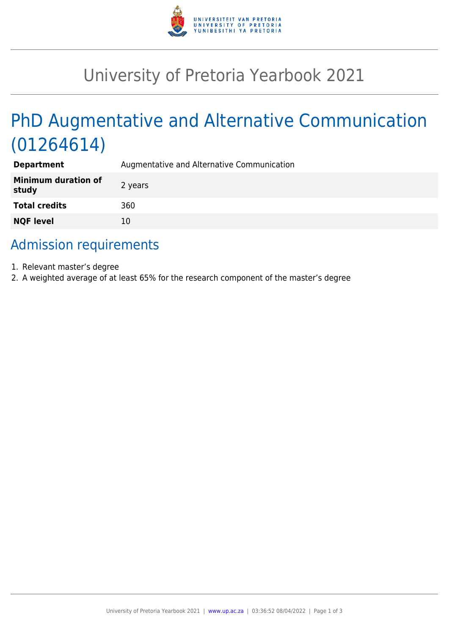

# University of Pretoria Yearbook 2021

# PhD Augmentative and Alternative Communication (01264614)

| <b>Department</b>                   | Augmentative and Alternative Communication |
|-------------------------------------|--------------------------------------------|
| <b>Minimum duration of</b><br>study | 2 years                                    |
| <b>Total credits</b>                | 360                                        |
| <b>NQF level</b>                    | 10                                         |
|                                     |                                            |

## Admission requirements

- 1. Relevant master's degree
- 2. A weighted average of at least 65% for the research component of the master's degree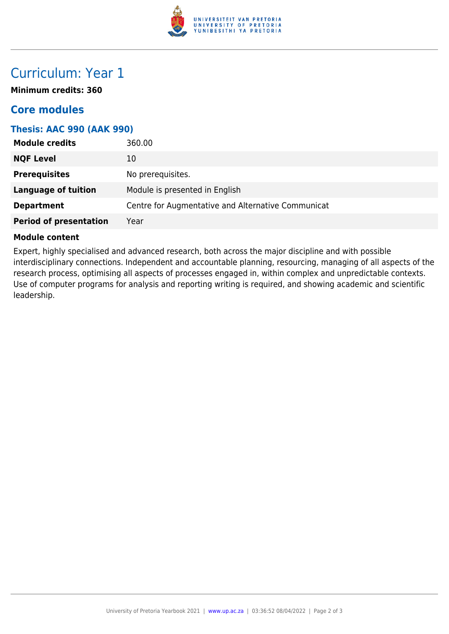

## Curriculum: Year 1

**Minimum credits: 360**

### **Core modules**

#### **Thesis: AAC 990 (AAK 990)**

| <b>Module credits</b>         | 360.00                                             |
|-------------------------------|----------------------------------------------------|
| <b>NQF Level</b>              | 10                                                 |
| <b>Prerequisites</b>          | No prerequisites.                                  |
| Language of tuition           | Module is presented in English                     |
| <b>Department</b>             | Centre for Augmentative and Alternative Communicat |
| <b>Period of presentation</b> | Year                                               |

#### **Module content**

Expert, highly specialised and advanced research, both across the major discipline and with possible interdisciplinary connections. Independent and accountable planning, resourcing, managing of all aspects of the research process, optimising all aspects of processes engaged in, within complex and unpredictable contexts. Use of computer programs for analysis and reporting writing is required, and showing academic and scientific leadership.